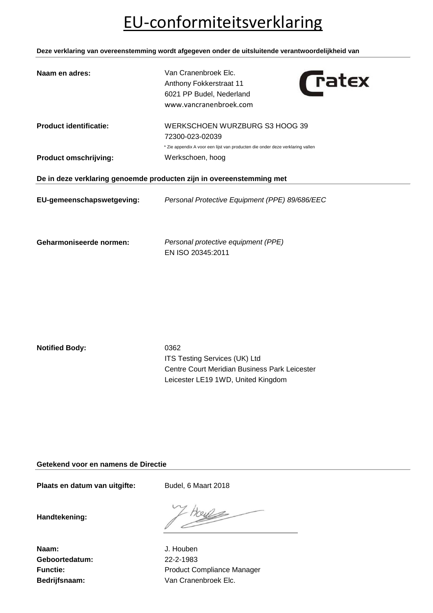## EU-conformiteitsverklaring

**Deze verklaring van overeenstemming wordt afgegeven onder de uitsluitende verantwoordelijkheid van**

| Naam en adres:                                                       | Van Cranenbroek Elc.<br><i><b>Tatex</b></i><br>Anthony Fokkerstraat 11<br>6021 PP Budel, Nederland<br>www.vancranenbroek.com |  |
|----------------------------------------------------------------------|------------------------------------------------------------------------------------------------------------------------------|--|
| <b>Product identificatie:</b>                                        | WERKSCHOEN WURZBURG S3 HOOG 39<br>72300-023-02039                                                                            |  |
|                                                                      | * Zie appendix A voor een lijst van producten die onder deze verklaring vallen                                               |  |
| <b>Product omschrijving:</b>                                         | Werkschoen, hoog                                                                                                             |  |
| De in deze verklaring genoemde producten zijn in overeenstemming met |                                                                                                                              |  |
| EU-gemeenschapswetgeving:                                            | Personal Protective Equipment (PPE) 89/686/EEC                                                                               |  |
| Geharmoniseerde normen:                                              | Personal protective equipment (PPE)<br>EN ISO 20345:2011                                                                     |  |

**Notified Body:** 0362

ITS Testing Services (UK) Ltd Centre Court Meridian Business Park Leicester Leicester LE19 1WD, United Kingdom

**Getekend voor en namens de Directie**

Plaats en datum van uitgifte: Budel, 6 Maart 2018

**Handtekening:**

**Naam:** J. Houben **Geboortedatum:** 22-2-1983

tous

Functie: **Functie:** Product Compliance Manager **Bedrijfsnaam:** Van Cranenbroek Elc.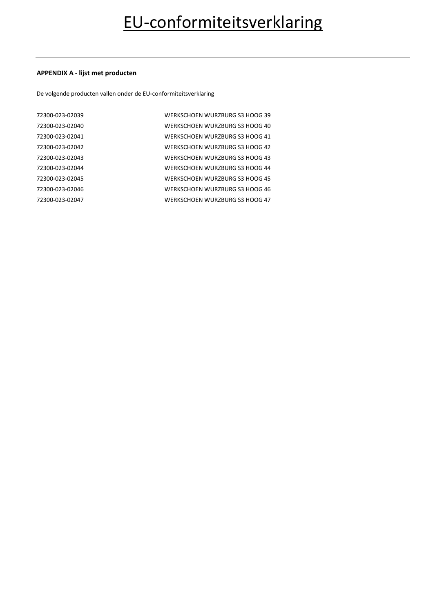### **APPENDIX A - lijst met producten**

De volgende producten vallen onder de EU-conformiteitsverklaring

| 72300-023-02039 | WERKSCHOEN WURZBURG S3 HOOG 39 |
|-----------------|--------------------------------|
| 72300-023-02040 | WERKSCHOEN WURZBURG S3 HOOG 40 |
| 72300-023-02041 | WERKSCHOEN WURZBURG S3 HOOG 41 |
| 72300-023-02042 | WERKSCHOEN WURZBURG S3 HOOG 42 |
| 72300-023-02043 | WERKSCHOEN WURZBURG S3 HOOG 43 |
| 72300-023-02044 | WERKSCHOEN WURZBURG S3 HOOG 44 |
| 72300-023-02045 | WERKSCHOEN WURZBURG S3 HOOG 45 |
| 72300-023-02046 | WERKSCHOEN WURZBURG S3 HOOG 46 |
| 72300-023-02047 | WERKSCHOEN WURZBURG S3 HOOG 47 |
|                 |                                |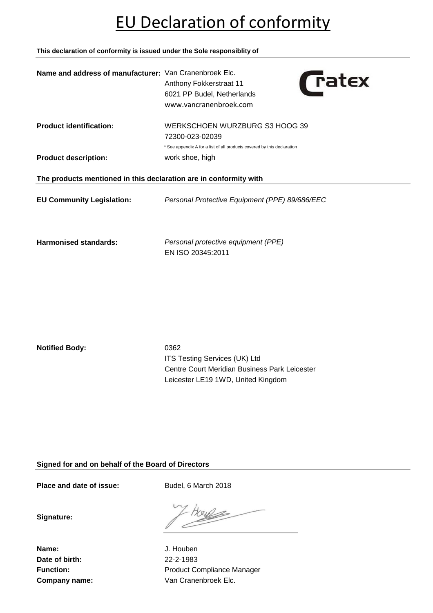## EU Declaration of conformity

**This declaration of conformity is issued under the Sole responsiblity of**

| Name and address of manufacturer: Van Cranenbroek Elc.            | <i><u><b>Tatex</b></u></i><br>Anthony Fokkerstraat 11<br>6021 PP Budel, Netherlands<br>www.vancranenbroek.com                |  |
|-------------------------------------------------------------------|------------------------------------------------------------------------------------------------------------------------------|--|
| <b>Product identification:</b>                                    | WERKSCHOEN WURZBURG S3 HOOG 39<br>72300-023-02039<br>* See appendix A for a list of all products covered by this declaration |  |
| <b>Product description:</b>                                       | work shoe, high                                                                                                              |  |
| The products mentioned in this declaration are in conformity with |                                                                                                                              |  |
| <b>EU Community Legislation:</b>                                  | Personal Protective Equipment (PPE) 89/686/EEC                                                                               |  |
| <b>Harmonised standards:</b>                                      | Personal protective equipment (PPE)<br>EN ISO 20345:2011                                                                     |  |

**Notified Body:** 0362

ITS Testing Services (UK) Ltd Centre Court Meridian Business Park Leicester Leicester LE19 1WD, United Kingdom

**Signed for and on behalf of the Board of Directors**

Place and date of issue: Budel, 6 March 2018

**Signature:**

**Name:** J. Houben **Date of birth:** 22-2-1983

Function: **Function:** Product Compliance Manager **Company name:** Van Cranenbroek Elc.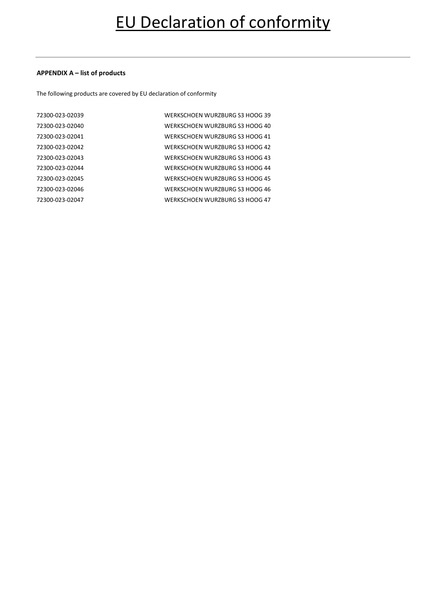#### **APPENDIX A – list of products**

The following products are covered by EU declaration of conformity

| 72300-023-02039 | WERKSCHOEN WURZBURG S3 HOOG 39 |
|-----------------|--------------------------------|
| 72300-023-02040 | WERKSCHOEN WURZBURG S3 HOOG 40 |
| 72300-023-02041 | WERKSCHOEN WURZBURG S3 HOOG 41 |
| 72300-023-02042 | WERKSCHOEN WURZBURG S3 HOOG 42 |
| 72300-023-02043 | WERKSCHOEN WURZBURG S3 HOOG 43 |
| 72300-023-02044 | WERKSCHOEN WURZBURG S3 HOOG 44 |
| 72300-023-02045 | WERKSCHOEN WURZBURG S3 HOOG 45 |
| 72300-023-02046 | WERKSCHOEN WURZBURG S3 HOOG 46 |
| 72300-023-02047 | WERKSCHOEN WURZBURG S3 HOOG 47 |
|                 |                                |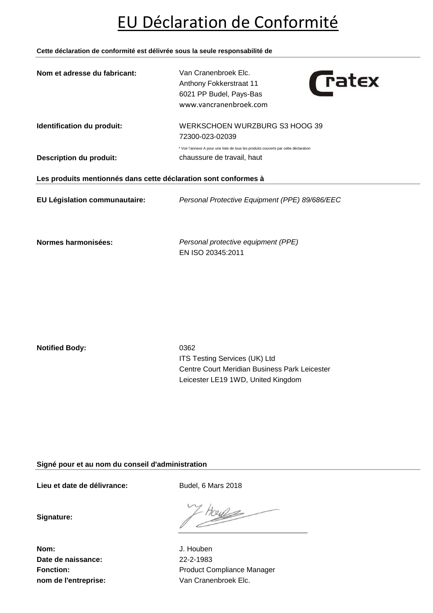## EU Déclaration de Conformité

**Cette déclaration de conformité est délivrée sous la seule responsabilité de**

| Nom et adresse du fabricant:                                    | Van Cranenbroek Elc.<br><b>Tatex</b><br>Anthony Fokkerstraat 11<br>6021 PP Budel, Pays-Bas<br>www.vancranenbroek.com |  |
|-----------------------------------------------------------------|----------------------------------------------------------------------------------------------------------------------|--|
| Identification du produit:                                      | WERKSCHOEN WURZBURG S3 HOOG 39<br>72300-023-02039                                                                    |  |
|                                                                 | * Voir l'annexe A pour une liste de tous les produits couverts par cette déclaration                                 |  |
| <b>Description du produit:</b>                                  | chaussure de travail, haut                                                                                           |  |
| Les produits mentionnés dans cette déclaration sont conformes à |                                                                                                                      |  |
| EU Législation communautaire:                                   | Personal Protective Equipment (PPE) 89/686/EEC                                                                       |  |
| Normes harmonisées:                                             | Personal protective equipment (PPE)<br>EN ISO 20345:2011                                                             |  |

**Notified Body:** 0362

ITS Testing Services (UK) Ltd Centre Court Meridian Business Park Leicester Leicester LE19 1WD, United Kingdom

**Signé pour et au nom du conseil d'administration**

Lieu et date de délivrance: Budel, 6 Mars 2018

**Signature:**

**Nom:** J. Houben **Date de naissance:** 22-2-1983

Fonction: **Fonction:** Product Compliance Manager **nom de l'entreprise:** Van Cranenbroek Elc.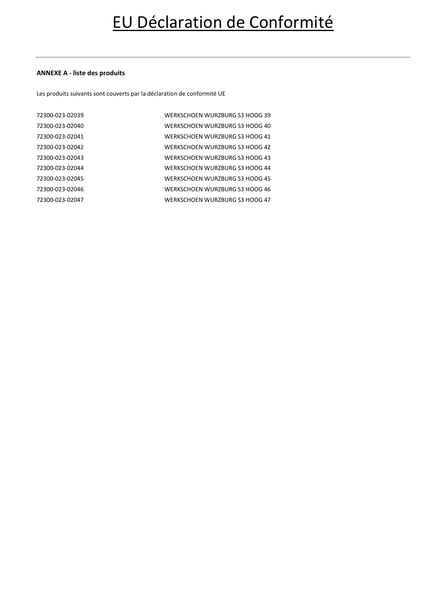#### **ANNEXE A - liste des produits**

Les produits suivants sont couverts par la déclaration de conformité UE

| 72300-023-02039 | WERKSCHOEN WURZBURG S3 HOOG 39 |
|-----------------|--------------------------------|
| 72300-023-02040 | WERKSCHOEN WURZBURG S3 HOOG 40 |
| 72300-023-02041 | WERKSCHOEN WURZBURG S3 HOOG 41 |
| 72300-023-02042 | WERKSCHOEN WURZBURG S3 HOOG 42 |
| 72300-023-02043 | WERKSCHOEN WURZBURG S3 HOOG 43 |
| 72300-023-02044 | WERKSCHOEN WURZBURG S3 HOOG 44 |
| 72300-023-02045 | WERKSCHOEN WURZBURG S3 HOOG 45 |
| 72300-023-02046 | WERKSCHOEN WURZBURG S3 HOOG 46 |
| 72300-023-02047 | WERKSCHOEN WURZBURG S3 HOOG 47 |
|                 |                                |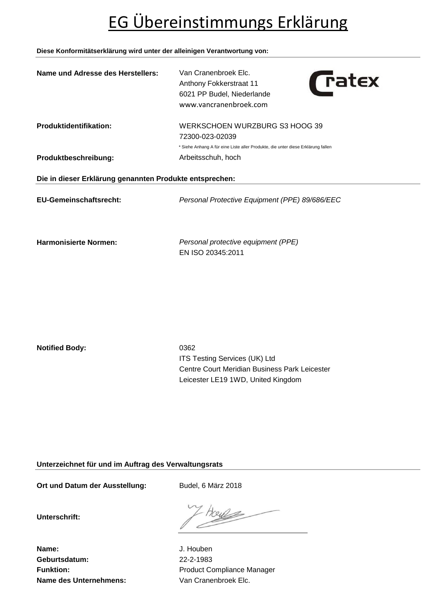# EG Übereinstimmungs Erklärung

#### **Diese Konformitätserklärung wird unter der alleinigen Verantwortung von:**

| Name und Adresse des Herstellers:                       | Van Cranenbroek Elc.<br><b>Tatex</b><br>Anthony Fokkerstraat 11<br>6021 PP Budel, Niederlande<br>www.vancranenbroek.com               |  |
|---------------------------------------------------------|---------------------------------------------------------------------------------------------------------------------------------------|--|
| <b>Produktidentifikation:</b>                           | WERKSCHOEN WURZBURG S3 HOOG 39<br>72300-023-02039<br>* Siehe Anhang A für eine Liste aller Produkte, die unter diese Erklärung fallen |  |
| Produktbeschreibung:                                    | Arbeitsschuh, hoch                                                                                                                    |  |
| Die in dieser Erklärung genannten Produkte entsprechen: |                                                                                                                                       |  |
| <b>EU-Gemeinschaftsrecht:</b>                           | Personal Protective Equipment (PPE) 89/686/EEC                                                                                        |  |
| <b>Harmonisierte Normen:</b>                            | Personal protective equipment (PPE)<br>EN ISO 20345:2011                                                                              |  |

**Notified Body:** 0362

ITS Testing Services (UK) Ltd Centre Court Meridian Business Park Leicester Leicester LE19 1WD, United Kingdom

**Unterzeichnet für und im Auftrag des Verwaltungsrats**

Ort und Datum der Ausstellung: Budel, 6 März 2018

**Unterschrift:**

rous

**Name:** J. Houben **Geburtsdatum:** 22-2-1983 **Name des Unternehmens:** Van Cranenbroek Elc.

Funktion: **Funktion:** Product Compliance Manager